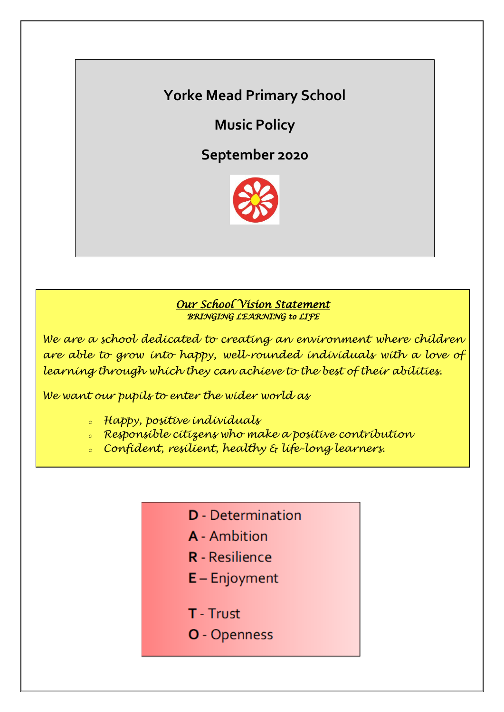# **Yorke Mead Primary School**

**Music Policy**

**September 2020**



### *Our School Vision Statement BRINGING LEARNING to LIFE*

*We are a school dedicated to creating an environment where children are able to grow into happy, well-rounded individuals with a love of learning through which they can achieve to the best of their abilities.*

*We want our pupils to enter the wider world as*

- *<sup>o</sup> Happy, positive individuals*
- *<sup>o</sup> Responsible citizens who make a positive contribution*
- *<sup>o</sup> Confident, resilient, healthy & life-long learners.*
	- **D** Determination
	- A Ambition
	- **R** Resilience
	- $E -$  Enjoyment
	- **T** Trust
	- O Openness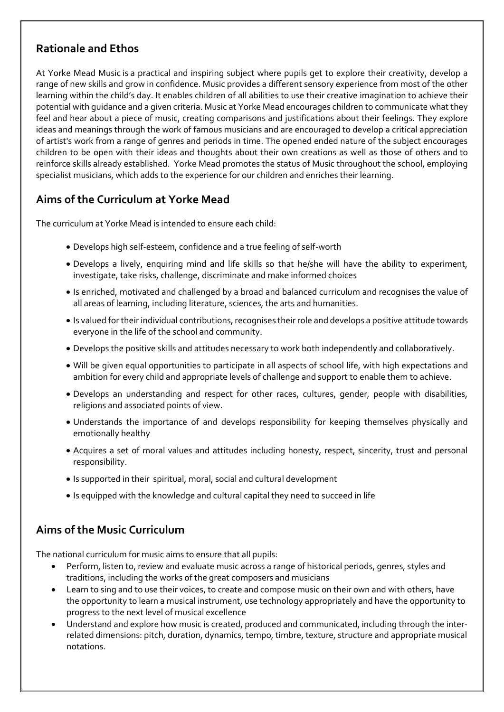### **Rationale and Ethos**

At Yorke Mead Music is a practical and inspiring subject where pupils get to explore their creativity, develop a range of new skills and grow in confidence. Music provides a different sensory experience from most of the other learning within the child's day. It enables children of all abilities to use their creative imagination to achieve their potential with guidance and a given criteria. Music at Yorke Mead encourages children to communicate what they feel and hear about a piece of music, creating comparisons and justifications about their feelings. They explore ideas and meanings through the work of famous musicians and are encouraged to develop a critical appreciation of artist's work from a range of genres and periods in time. The opened ended nature of the subject encourages children to be open with their ideas and thoughts about their own creations as well as those of others and to reinforce skills already established. Yorke Mead promotes the status of Music throughout the school, employing specialist musicians, which adds to the experience for our children and enriches their learning.

# **Aims of the Curriculum at Yorke Mead**

The curriculum at Yorke Mead is intended to ensure each child:

- Develops high self-esteem, confidence and a true feeling of self-worth
- Develops a lively, enquiring mind and life skills so that he/she will have the ability to experiment, investigate, take risks, challenge, discriminate and make informed choices
- Is enriched, motivated and challenged by a broad and balanced curriculum and recognises the value of all areas of learning, including literature, sciences, the arts and humanities.
- Is valued for their individual contributions, recognises their role and develops a positive attitude towards everyone in the life of the school and community.
- Develops the positive skills and attitudes necessary to work both independently and collaboratively.
- Will be given equal opportunities to participate in all aspects of school life, with high expectations and ambition for every child and appropriate levels of challenge and support to enable them to achieve.
- Develops an understanding and respect for other races, cultures, gender, people with disabilities, religions and associated points of view.
- Understands the importance of and develops responsibility for keeping themselves physically and emotionally healthy
- Acquires a set of moral values and attitudes including honesty, respect, sincerity, trust and personal responsibility.
- Is supported in their spiritual, moral, social and cultural development
- Is equipped with the knowledge and cultural capital they need to succeed in life

## **Aims of the Music Curriculum**

The national curriculum for music aims to ensure that all pupils:

- Perform, listen to, review and evaluate music across a range of historical periods, genres, styles and traditions, including the works of the great composers and musicians
- Learn to sing and to use their voices, to create and compose music on their own and with others, have the opportunity to learn a musical instrument, use technology appropriately and have the opportunity to progress to the next level of musical excellence
- Understand and explore how music is created, produced and communicated, including through the interrelated dimensions: pitch, duration, dynamics, tempo, timbre, texture, structure and appropriate musical notations.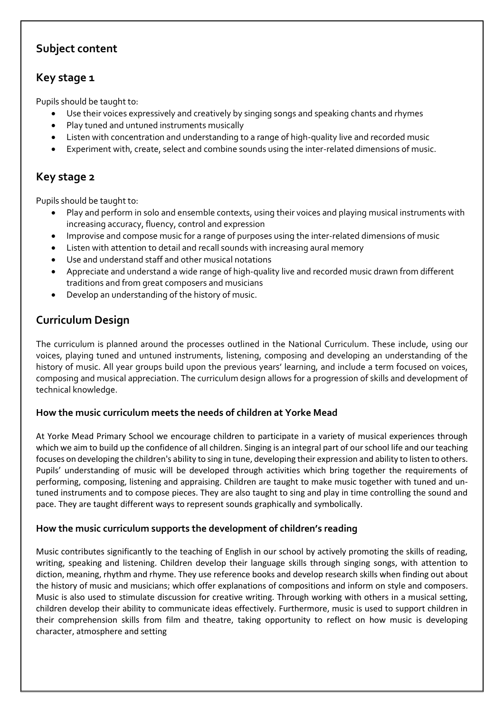## **Subject content**

## **Key stage 1**

Pupils should be taught to:

- Use their voices expressively and creatively by singing songs and speaking chants and rhymes
- Play tuned and untuned instruments musically
- Listen with concentration and understanding to a range of high-quality live and recorded music
- Experiment with, create, select and combine sounds using the inter-related dimensions of music.

# **Key stage 2**

Pupils should be taught to:

- Play and perform in solo and ensemble contexts, using their voices and playing musical instruments with increasing accuracy, fluency, control and expression
- Improvise and compose music for a range of purposes using the inter-related dimensions of music
- Listen with attention to detail and recall sounds with increasing aural memory
- Use and understand staff and other musical notations
- Appreciate and understand a wide range of high-quality live and recorded music drawn from different traditions and from great composers and musicians
- Develop an understanding of the history of music.

# **Curriculum Design**

The curriculum is planned around the processes outlined in the National Curriculum. These include, using our voices, playing tuned and untuned instruments, listening, composing and developing an understanding of the history of music. All year groups build upon the previous years' learning, and include a term focused on voices, composing and musical appreciation. The curriculum design allows for a progression of skills and development of technical knowledge.

### **How the music curriculum meets the needs of children at Yorke Mead**

At Yorke Mead Primary School we encourage children to participate in a variety of musical experiences through which we aim to build up the confidence of all children. Singing is an integral part of our school life and our teaching focuses on developing the children's ability to sing in tune, developing their expression and ability to listen to others. Pupils' understanding of music will be developed through activities which bring together the requirements of performing, composing, listening and appraising. Children are taught to make music together with tuned and untuned instruments and to compose pieces. They are also taught to sing and play in time controlling the sound and pace. They are taught different ways to represent sounds graphically and symbolically.

### **How the music curriculum supports the development of children's reading**

Music contributes significantly to the teaching of English in our school by actively promoting the skills of reading, writing, speaking and listening. Children develop their language skills through singing songs, with attention to diction, meaning, rhythm and rhyme. They use reference books and develop research skills when finding out about the history of music and musicians; which offer explanations of compositions and inform on style and composers. Music is also used to stimulate discussion for creative writing. Through working with others in a musical setting, children develop their ability to communicate ideas effectively. Furthermore, music is used to support children in their comprehension skills from film and theatre, taking opportunity to reflect on how music is developing character, atmosphere and setting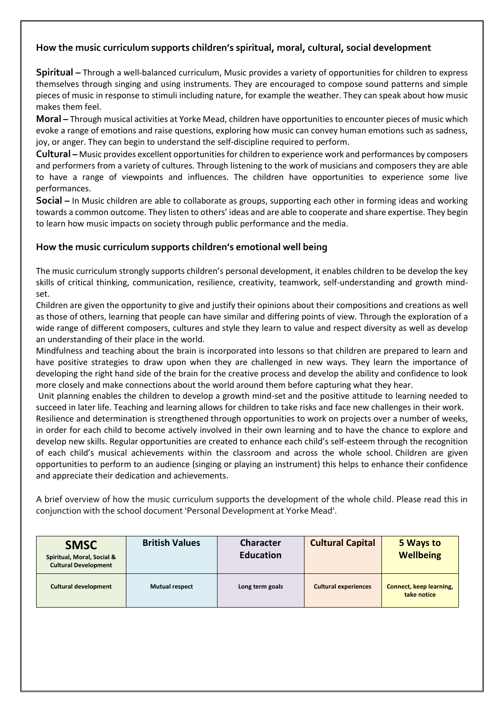### **How the music curriculum supports children's spiritual, moral, cultural, social development**

**Spiritual –** Through a well-balanced curriculum, Music provides a variety of opportunities for children to express themselves through singing and using instruments. They are encouraged to compose sound patterns and simple pieces of music in response to stimuli including nature, for example the weather. They can speak about how music makes them feel.

**Moral –** Through musical activities at Yorke Mead, children have opportunities to encounter pieces of music which evoke a range of emotions and raise questions, exploring how music can convey human emotions such as sadness, joy, or anger. They can begin to understand the self-discipline required to perform.

**Cultural –** Music provides excellent opportunities for children to experience work and performances by composers and performers from a variety of cultures. Through listening to the work of musicians and composers they are able to have a range of viewpoints and influences. The children have opportunities to experience some live performances.

**Social –** In Music children are able to collaborate as groups, supporting each other in forming ideas and working towards a common outcome. They listen to others' ideas and are able to cooperate and share expertise. They begin to learn how music impacts on society through public performance and the media.

#### **How the music curriculum supports children's emotional well being**

The music curriculum strongly supports children's personal development, it enables children to be develop the key skills of critical thinking, communication, resilience, creativity, teamwork, self-understanding and growth mindset.

Children are given the opportunity to give and justify their opinions about their compositions and creations as well as those of others, learning that people can have similar and differing points of view. Through the exploration of a wide range of different composers, cultures and style they learn to value and respect diversity as well as develop an understanding of their place in the world.

Mindfulness and teaching about the brain is incorporated into lessons so that children are prepared to learn and have positive strategies to draw upon when they are challenged in new ways. They learn the importance of developing the right hand side of the brain for the creative process and develop the ability and confidence to look more closely and make connections about the world around them before capturing what they hear.

Unit planning enables the children to develop a growth mind-set and the positive attitude to learning needed to succeed in later life. Teaching and learning allows for children to take risks and face new challenges in their work.

Resilience and determination is strengthened through opportunities to work on projects over a number of weeks, in order for each child to become actively involved in their own learning and to have the chance to explore and develop new skills. Regular opportunities are created to enhance each child's self-esteem through the recognition of each child's musical achievements within the classroom and across the whole school. Children are given opportunities to perform to an audience (singing or playing an instrument) this helps to enhance their confidence and appreciate their dedication and achievements.

A brief overview of how the music curriculum supports the development of the whole child. Please read this in conjunction with the school document 'Personal Development at Yorke Mead'.

| <b>SMSC</b><br>Spiritual, Moral, Social &<br><b>Cultural Development</b> | <b>British Values</b> | <b>Character</b><br><b>Education</b> | <b>Cultural Capital</b>     | 5 Ways to<br><b>Wellbeing</b>                 |
|--------------------------------------------------------------------------|-----------------------|--------------------------------------|-----------------------------|-----------------------------------------------|
| <b>Cultural development</b>                                              | <b>Mutual respect</b> | Long term goals                      | <b>Cultural experiences</b> | <b>Connect, keep learning,</b><br>take notice |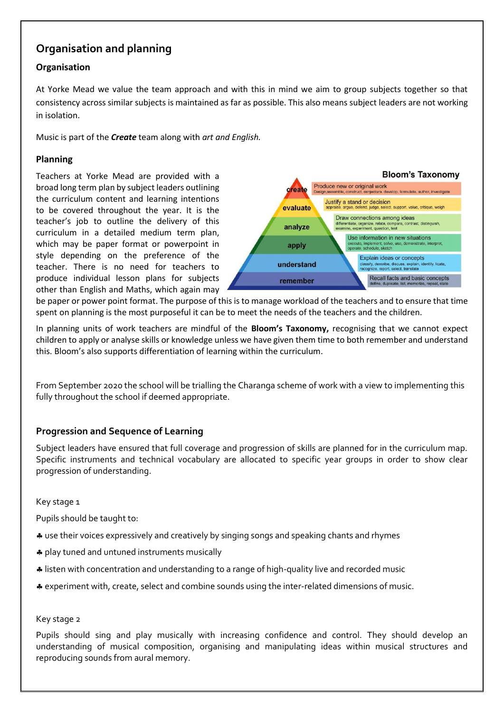### **Organisation and planning**

### **Organisation**

At Yorke Mead we value the team approach and with this in mind we aim to group subjects together so that consistency across similar subjects is maintained as far as possible. This also means subject leaders are not working in isolation.

Music is part of the *Create* team along with *art and English.* 

#### **Planning**

Teachers at Yorke Mead are provided with a broad long term plan by subject leaders outlining the curriculum content and learning intentions to be covered throughout the year. It is the teacher's job to outline the delivery of this curriculum in a detailed medium term plan, which may be paper format or powerpoint in style depending on the preference of the teacher. There is no need for teachers to produce individual lesson plans for subjects other than English and Maths, which again may



be paper or power point format. The purpose of this is to manage workload of the teachers and to ensure that time spent on planning is the most purposeful it can be to meet the needs of the teachers and the children.

In planning units of work teachers are mindful of the **Bloom's Taxonomy,** recognising that we cannot expect children to apply or analyse skills or knowledge unless we have given them time to both remember and understand this. Bloom's also supports differentiation of learning within the curriculum.

From September 2020 the school will be trialling the Charanga scheme of work with a view to implementing this fully throughout the school if deemed appropriate.

#### **Progression and Sequence of Learning**

Subject leaders have ensured that full coverage and progression of skills are planned for in the curriculum map. Specific instruments and technical vocabulary are allocated to specific year groups in order to show clear progression of understanding.

Key stage 1

Pupils should be taught to:

- use their voices expressively and creatively by singing songs and speaking chants and rhymes
- \* play tuned and untuned instruments musically
- listen with concentration and understanding to a range of high-quality live and recorded music
- experiment with, create, select and combine sounds using the inter-related dimensions of music.

#### Key stage 2

Pupils should sing and play musically with increasing confidence and control. They should develop an understanding of musical composition, organising and manipulating ideas within musical structures and reproducing sounds from aural memory.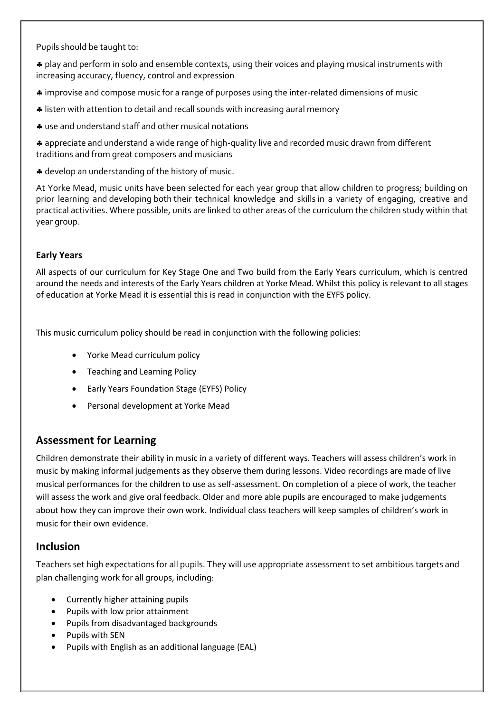Pupils should be taught to:

 play and perform in solo and ensemble contexts, using their voices and playing musical instruments with increasing accuracy, fluency, control and expression

improvise and compose music for a range of purposes using the inter-related dimensions of music

- listen with attention to detail and recall sounds with increasing aural memory
- use and understand staff and other musical notations

 appreciate and understand a wide range of high-quality live and recorded music drawn from different traditions and from great composers and musicians

 $\clubsuit$  develop an understanding of the history of music.

At Yorke Mead, music units have been selected for each year group that allow children to progress; building on prior learning and developing both their technical knowledge and skills in a variety of engaging, creative and practical activities. Where possible, units are linked to other areas of the curriculum the children study within that year group.

#### **Early Years**

All aspects of our curriculum for Key Stage One and Two build from the Early Years curriculum, which is centred around the needs and interests of the Early Years children at Yorke Mead. Whilst this policy is relevant to all stages of education at Yorke Mead it is essential this is read in conjunction with the EYFS policy.

This music curriculum policy should be read in conjunction with the following policies:

- Yorke Mead curriculum policy
- Teaching and Learning Policy
- Early Years Foundation Stage (EYFS) Policy
- Personal development at Yorke Mead

#### **Assessment for Learning**

Children demonstrate their ability in music in a variety of different ways. Teachers will assess children's work in music by making informal judgements as they observe them during lessons. Video recordings are made of live musical performances for the children to use as self-assessment. On completion of a piece of work, the teacher will assess the work and give oral feedback. Older and more able pupils are encouraged to make judgements about how they can improve their own work. Individual class teachers will keep samples of children's work in music for their own evidence.

#### **Inclusion**

Teachers set high expectations for all pupils. They will use appropriate assessment to set ambitious targets and plan challenging work for all groups, including:

- Currently higher attaining pupils
- Pupils with low prior attainment
- Pupils from disadvantaged backgrounds
- Pupils with SEN
- Pupils with English as an additional language (EAL)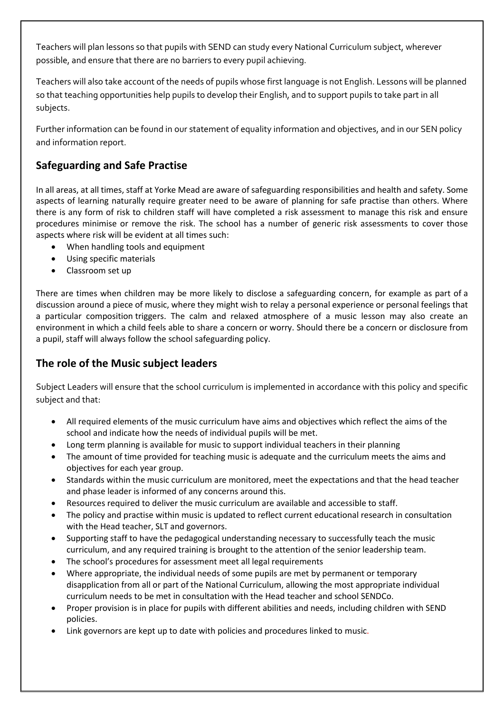Teachers will plan lessons so that pupils with SEND can study every National Curriculum subject, wherever possible, and ensure that there are no barriers to every pupil achieving.

Teachers will also take account of the needs of pupils whose first language is not English. Lessons will be planned so that teaching opportunities help pupils to develop their English, and to support pupils to take part in all subjects.

Further information can be found in our statement of equality information and objectives, and in our SEN policy and information report.

# **Safeguarding and Safe Practise**

In all areas, at all times, staff at Yorke Mead are aware of safeguarding responsibilities and health and safety. Some aspects of learning naturally require greater need to be aware of planning for safe practise than others. Where there is any form of risk to children staff will have completed a risk assessment to manage this risk and ensure procedures minimise or remove the risk. The school has a number of generic risk assessments to cover those aspects where risk will be evident at all times such:

- When handling tools and equipment
- Using specific materials
- Classroom set up

There are times when children may be more likely to disclose a safeguarding concern, for example as part of a discussion around a piece of music, where they might wish to relay a personal experience or personal feelings that a particular composition triggers. The calm and relaxed atmosphere of a music lesson may also create an environment in which a child feels able to share a concern or worry. Should there be a concern or disclosure from a pupil, staff will always follow the school safeguarding policy.

### **The role of the Music subject leaders**

Subject Leaders will ensure that the school curriculum is implemented in accordance with this policy and specific subject and that:

- All required elements of the music curriculum have aims and objectives which reflect the aims of the school and indicate how the needs of individual pupils will be met.
- Long term planning is available for music to support individual teachers in their planning
- The amount of time provided for teaching music is adequate and the curriculum meets the aims and objectives for each year group.
- Standards within the music curriculum are monitored, meet the expectations and that the head teacher and phase leader is informed of any concerns around this.
- Resources required to deliver the music curriculum are available and accessible to staff.
- The policy and practise within music is updated to reflect current educational research in consultation with the Head teacher, SLT and governors.
- Supporting staff to have the pedagogical understanding necessary to successfully teach the music curriculum, and any required training is brought to the attention of the senior leadership team.
- The school's procedures for assessment meet all legal requirements
- Where appropriate, the individual needs of some pupils are met by permanent or temporary disapplication from all or part of the National Curriculum, allowing the most appropriate individual curriculum needs to be met in consultation with the Head teacher and school SENDCo.
- Proper provision is in place for pupils with different abilities and needs, including children with SEND policies.
- Link governors are kept up to date with policies and procedures linked to music.